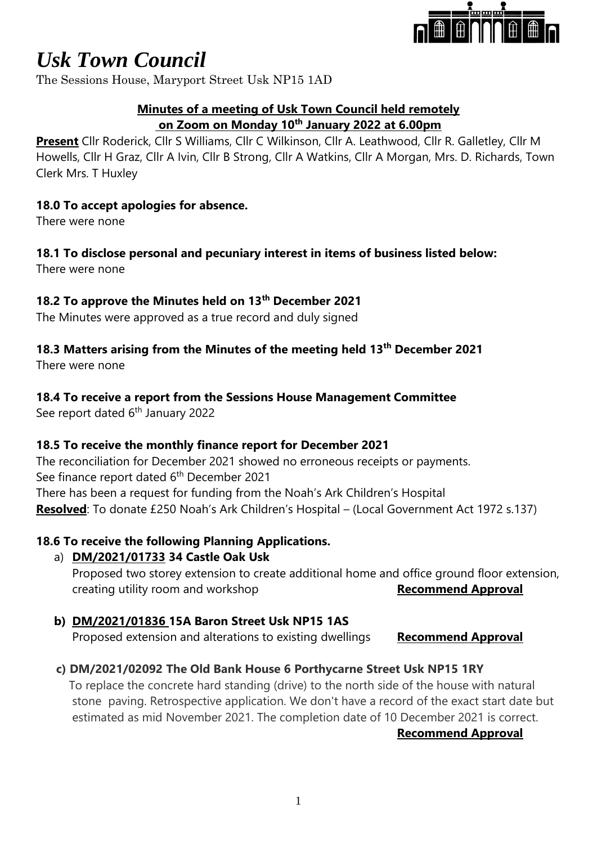

The Sessions House, Maryport Street Usk NP15 1AD

#### **Minutes of a meeting of Usk Town Council held remotely on Zoom on Monday 10th January 2022 at 6.00pm**

**Present** Cllr Roderick, Cllr S Williams, Cllr C Wilkinson, Cllr A. Leathwood, Cllr R. Galletley, Cllr M Howells, Cllr H Graz, Cllr A Ivin, Cllr B Strong, Cllr A Watkins, Cllr A Morgan, Mrs. D. Richards, Town Clerk Mrs. T Huxley

#### **18.0 To accept apologies for absence.**

There were none

### **18.1 To disclose personal and pecuniary interest in items of business listed below:**

There were none

#### **18.2 To approve the Minutes held on 13th December 2021**

The Minutes were approved as a true record and duly signed

# **18.3 Matters arising from the Minutes of the meeting held 13th December 2021**

There were none

#### **18.4 To receive a report from the Sessions House Management Committee**

See report dated 6<sup>th</sup> January 2022

#### **18.5 To receive the monthly finance report for December 2021**

The reconciliation for December 2021 showed no erroneous receipts or payments. See finance report dated 6<sup>th</sup> December 2021 There has been a request for funding from the Noah's Ark Children's Hospital **Resolved**: To donate £250 Noah's Ark Children's Hospital – (Local Government Act 1972 s.137)

#### **18.6 To receive the following Planning Applications.**

#### a) **DM/2021/01733 34 Castle Oak Usk**

Proposed two storey extension to create additional home and office ground floor extension, creating utility room and workshop **Recommend Approval** 

#### **b) DM/2021/01836 15A Baron Street Usk NP15 1AS**

Proposed extension and alterations to existing dwellings **Recommend Approval**

#### **c) DM/2021/02092 The Old Bank House 6 Porthycarne Street Usk NP15 1RY**

 To replace the concrete hard standing (drive) to the north side of the house with natural stone paving. Retrospective application. We don't have a record of the exact start date but estimated as mid November 2021. The completion date of 10 December 2021 is correct.

#### **Recommend Approval**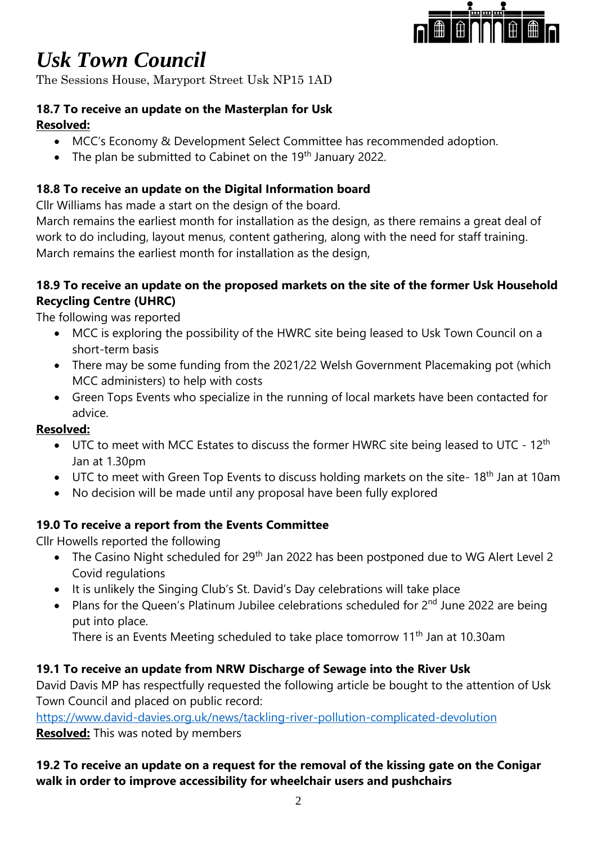

The Sessions House, Maryport Street Usk NP15 1AD

#### **18.7 To receive an update on the Masterplan for Usk Resolved:**

- MCC's Economy & Development Select Committee has recommended adoption.
- The plan be submitted to Cabinet on the 19<sup>th</sup> January 2022.

## **18.8 To receive an update on the Digital Information board**

Cllr Williams has made a start on the design of the board.

March remains the earliest month for installation as the design, as there remains a great deal of work to do including, layout menus, content gathering, along with the need for staff training. March remains the earliest month for installation as the design,

#### **18.9 To receive an update on the proposed markets on the site of the former Usk Household Recycling Centre (UHRC)**

The following was reported

- MCC is exploring the possibility of the HWRC site being leased to Usk Town Council on a short-term basis
- There may be some funding from the 2021/22 Welsh Government Placemaking pot (which MCC administers) to help with costs
- Green Tops Events who specialize in the running of local markets have been contacted for advice.

### **Resolved:**

- UTC to meet with MCC Estates to discuss the former HWRC site being leased to UTC 12<sup>th</sup> Jan at 1.30pm
- UTC to meet with Green Top Events to discuss holding markets on the site- 18<sup>th</sup> Jan at 10am
- No decision will be made until any proposal have been fully explored

### **19.0 To receive a report from the Events Committee**

Cllr Howells reported the following

- The Casino Night scheduled for 29<sup>th</sup> Jan 2022 has been postponed due to WG Alert Level 2 Covid regulations
- It is unlikely the Singing Club's St. David's Day celebrations will take place
- Plans for the Queen's Platinum Jubilee celebrations scheduled for  $2^{nd}$  June 2022 are being put into place.

There is an Events Meeting scheduled to take place tomorrow 11<sup>th</sup> Jan at 10.30am

### **19.1 To receive an update from NRW Discharge of Sewage into the River Usk**

David Davis MP has respectfully requested the following article be bought to the attention of Usk Town Council and placed on public record:

<https://www.david-davies.org.uk/news/tackling-river-pollution-complicated-devolution>

**Resolved:** This was noted by members

#### **19.2 To receive an update on a request for the removal of the kissing gate on the Conigar walk in order to improve accessibility for wheelchair users and pushchairs**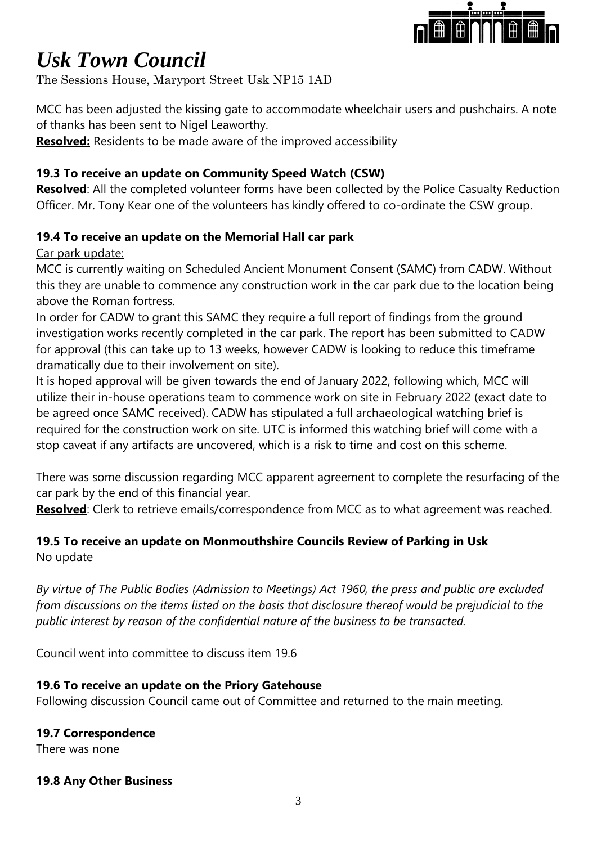

The Sessions House, Maryport Street Usk NP15 1AD

MCC has been adjusted the kissing gate to accommodate wheelchair users and pushchairs. A note of thanks has been sent to Nigel Leaworthy.

**Resolved:** Residents to be made aware of the improved accessibility

#### **19.3 To receive an update on Community Speed Watch (CSW)**

**Resolved**: All the completed volunteer forms have been collected by the Police Casualty Reduction Officer. Mr. Tony Kear one of the volunteers has kindly offered to co-ordinate the CSW group.

#### **19.4 To receive an update on the Memorial Hall car park**

Car park update:

MCC is currently waiting on Scheduled Ancient Monument Consent (SAMC) from CADW. Without this they are unable to commence any construction work in the car park due to the location being above the Roman fortress.

In order for CADW to grant this SAMC they require a full report of findings from the ground investigation works recently completed in the car park. The report has been submitted to CADW for approval (this can take up to 13 weeks, however CADW is looking to reduce this timeframe dramatically due to their involvement on site).

It is hoped approval will be given towards the end of January 2022, following which, MCC will utilize their in-house operations team to commence work on site in February 2022 (exact date to be agreed once SAMC received). CADW has stipulated a full archaeological watching brief is required for the construction work on site. UTC is informed this watching brief will come with a stop caveat if any artifacts are uncovered, which is a risk to time and cost on this scheme.

There was some discussion regarding MCC apparent agreement to complete the resurfacing of the car park by the end of this financial year.

**Resolved**: Clerk to retrieve emails/correspondence from MCC as to what agreement was reached.

#### **19.5 To receive an update on Monmouthshire Councils Review of Parking in Usk** No update

*By virtue of The Public Bodies (Admission to Meetings) Act 1960, the press and public are excluded from discussions on the items listed on the basis that disclosure thereof would be prejudicial to the public interest by reason of the confidential nature of the business to be transacted.*

Council went into committee to discuss item 19.6

#### **19.6 To receive an update on the Priory Gatehouse**

Following discussion Council came out of Committee and returned to the main meeting.

#### **19.7 Correspondence**

There was none

#### **19.8 Any Other Business**